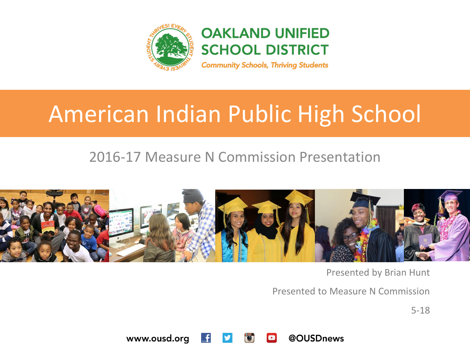

**OAKLAND UNIFIED SCHOOL DISTRICT** 

#### **Community Schools, Thriving Students**

# American Indian Public High School

### 2016-17 Measure N Commission Presentation



Presented by Brian Hunt

Presented to Measure N Commission

5-18

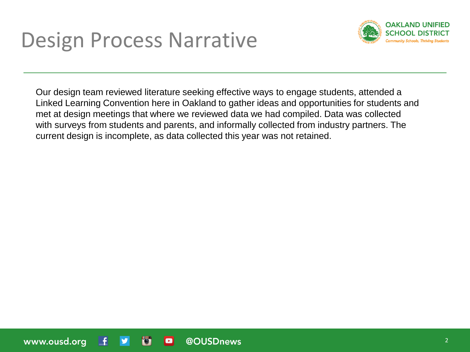

Our design team reviewed literature seeking effective ways to engage students, attended a Linked Learning Convention here in Oakland to gather ideas and opportunities for students and met at design meetings that where we reviewed data we had compiled. Data was collected with surveys from students and parents, and informally collected from industry partners. The current design is incomplete, as data collected this year was not retained.

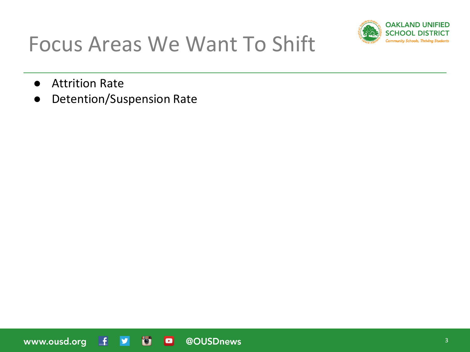

# Focus Areas We Want To Shift

- Attrition Rate
- Detention/Suspension Rate

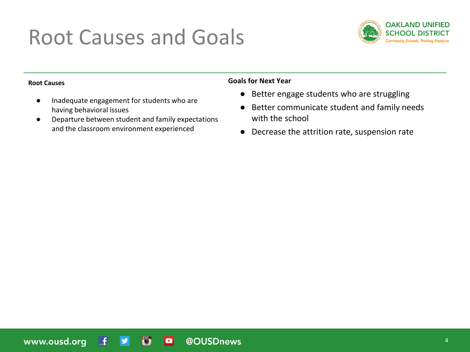# Root Causes and Goals



#### **Root Causes**

- Inadequate engagement for students who are having behavioral issues
- Departure between student and family expectations and the classroom environment experienced

#### **Goals for Next Year**

- Better engage students who are struggling
- Better communicate student and family needs with the school
- Decrease the attrition rate, suspension rate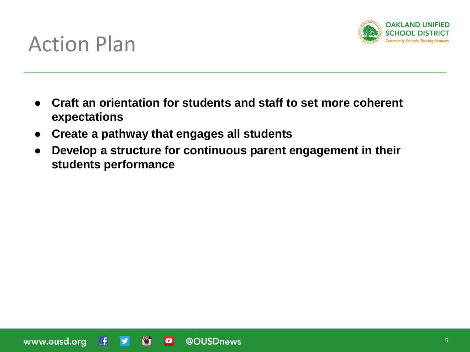

## Action Plan

- **Craft an orientation for students and staff to set more coherent expectations**
- **Create a pathway that engages all students**
- **Develop a structure for continuous parent engagement in their students performance**

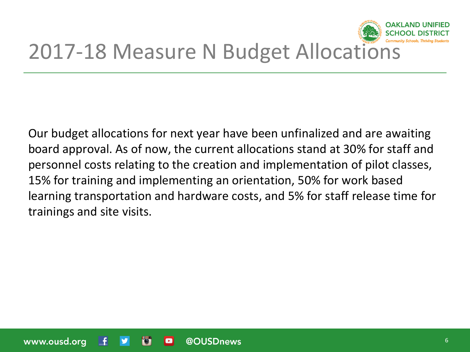

# 2017-18 Measure N Budget Allocations

Our budget allocations for next year have been unfinalized and are awaiting board approval. As of now, the current allocations stand at 30% for staff and personnel costs relating to the creation and implementation of pilot classes, 15% for training and implementing an orientation, 50% for work based learning transportation and hardware costs, and 5% for staff release time for trainings and site visits.

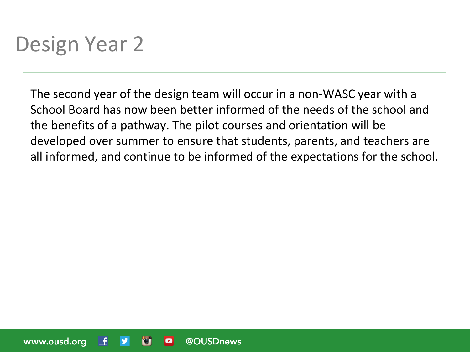# Design Year 2

The second year of the design team will occur in a non-WASC year with a School Board has now been better informed of the needs of the school and the benefits of a pathway. The pilot courses and orientation will be developed over summer to ensure that students, parents, and teachers are all informed, and continue to be informed of the expectations for the school.